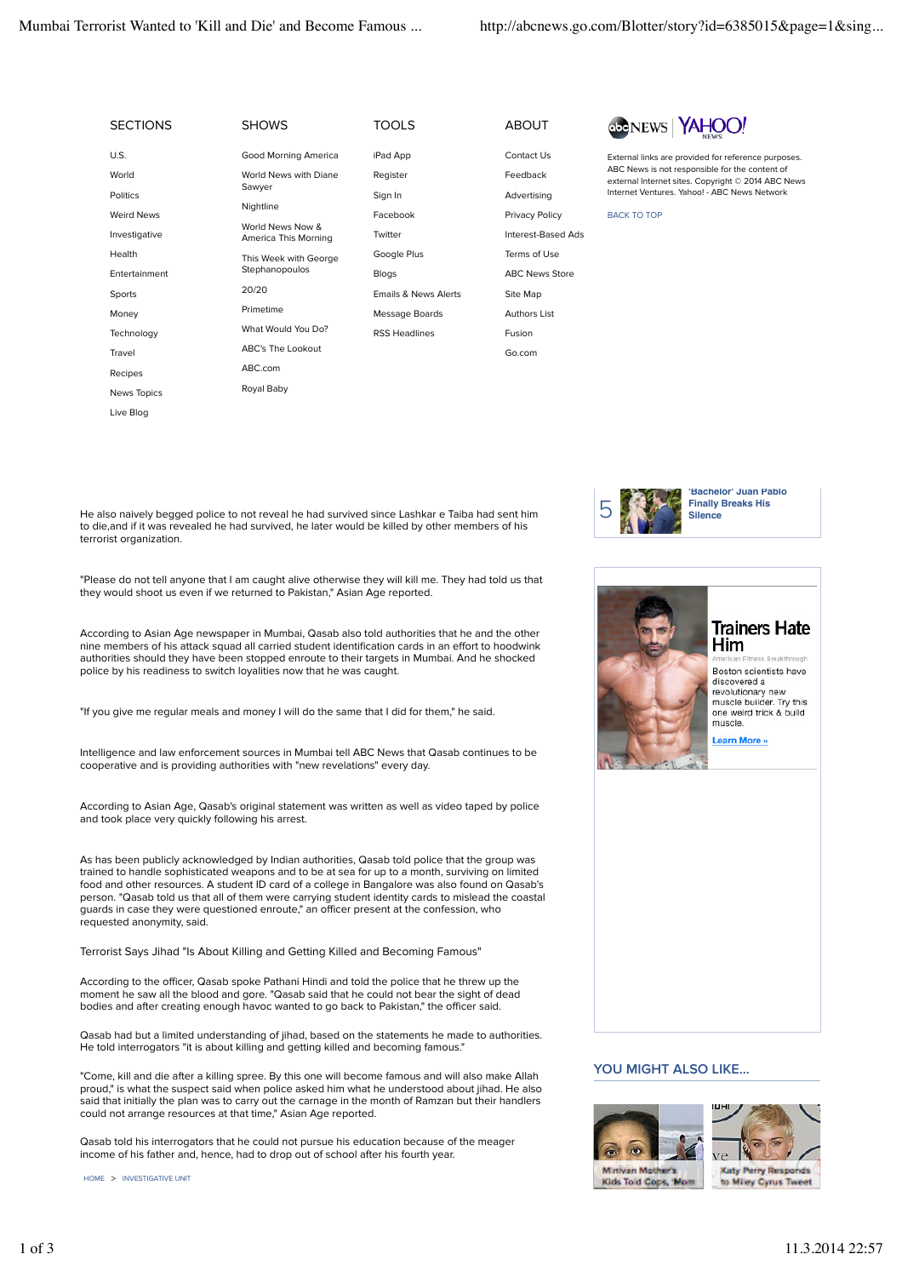News Topics Live Blog

| <b>SECTIONS</b> | <b>SHOWS</b>                             | <b>TOOLS</b>         | <b>ABOUT</b>          | AHOOL<br><b>abcNEW</b>                                                                                                                                                                                      |
|-----------------|------------------------------------------|----------------------|-----------------------|-------------------------------------------------------------------------------------------------------------------------------------------------------------------------------------------------------------|
| U.S.            | Good Morning America                     | iPad App             | Contact Us            | External links are provided for reference purposes.<br>ABC News is not responsible for the content of<br>external Internet sites. Copyright © 2014 ABC News<br>Internet Ventures, Yahoo! - ABC News Network |
| World           | World News with Diane<br>Sawyer          | Register             | Feedback              |                                                                                                                                                                                                             |
| <b>Politics</b> |                                          | Sign In              | Advertising           |                                                                                                                                                                                                             |
| Weird News      | Nightline                                | Facebook             | Privacy Policy        | <b>BACK TO TOP</b>                                                                                                                                                                                          |
| Investigative   | World News Now &<br>America This Morning | Twitter              | Interest-Based Ads    |                                                                                                                                                                                                             |
| Health          | This Week with George<br>Stephanopoulos  | Google Plus          | Terms of Use          |                                                                                                                                                                                                             |
| Entertainment   |                                          | <b>Blogs</b>         | <b>ABC News Store</b> |                                                                                                                                                                                                             |
| Sports          | 20/20                                    | Emails & News Alerts | Site Map              |                                                                                                                                                                                                             |
| Money           | Primetime                                | Message Boards       | Authors List          |                                                                                                                                                                                                             |
| Technology      | What Would You Do?                       | <b>RSS Headlines</b> | Fusion                |                                                                                                                                                                                                             |
| Travel          | ABC's The Lookout                        |                      | Go.com                |                                                                                                                                                                                                             |
| Recipes         | ABC.com                                  |                      |                       |                                                                                                                                                                                                             |

He also naively begged police to not reveal he had survived since Lashkar e Taiba had sent him to die,and if it was revealed he had survived, he later would be killed by other members of his terrorist organization.

Royal Baby

"Please do not tell anyone that I am caught alive otherwise they will kill me. They had told us that they would shoot us even if we returned to Pakistan," Asian Age reported.

According to Asian Age newspaper in Mumbai, Qasab also told authorities that he and the other nine members of his attack squad all carried student identification cards in an effort to hoodwink authorities should they have been stopped enroute to their targets in Mumbai. And he shocked police by his readiness to switch loyalities now that he was caught.

"If you give me regular meals and money I will do the same that I did for them," he said.

Intelligence and law enforcement sources in Mumbai tell ABC News that Qasab continues to be cooperative and is providing authorities with "new revelations" every day.

According to Asian Age, Qasab's original statement was written as well as video taped by police and took place very quickly following his arrest.

As has been publicly acknowledged by Indian authorities, Qasab told police that the group was trained to handle sophisticated weapons and to be at sea for up to a month, surviving on limited food and other resources. A student ID card of a college in Bangalore was also found on Qasab's person. "Qasab told us that all of them were carrying student identity cards to mislead the coastal guards in case they were questioned enroute," an officer present at the confession, who requested anonymity, said.

Terrorist Says Jihad "Is About Killing and Getting Killed and Becoming Famous"

According to the officer, Qasab spoke Pathani Hindi and told the police that he threw up the moment he saw all the blood and gore. "Qasab said that he could not bear the sight of dead bodies and after creating enough havoc wanted to go back to Pakistan," the officer said.

Qasab had but a limited understanding of jihad, based on the statements he made to authorities. He told interrogators "it is about killing and getting killed and becoming famous."

"Come, kill and die after a killing spree. By this one will become famous and will also make Allah proud," is what the suspect said when police asked him what he understood about jihad. He also said that initially the plan was to carry out the carnage in the month of Ramzan but their handlers could not arrange resources at that time," Asian Age reported.

Qasab told his interrogators that he could not pursue his education because of the meager income of his father and, hence, had to drop out of school after his fourth year.

HOME > INVESTIGATIVE UNIT





**Trainers Hate** Him Boston scientists have discovered a revolutionary new<br>muscle builder. Try this<br>one weird trick & build muscle. **Learn More** 

## **YOU MIGHT ALSO LIKE...**